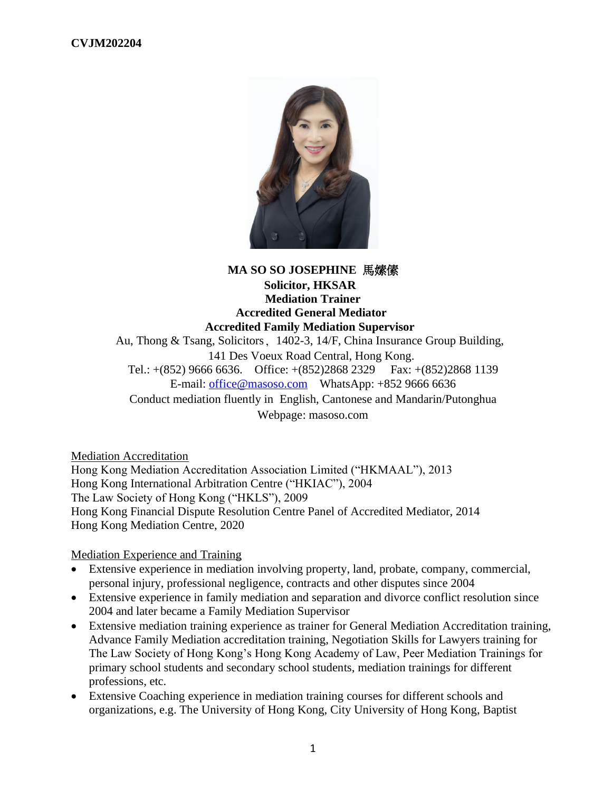

# **MA SO SO JOSEPHINE** 馬嫊傃 **Solicitor, HKSAR Mediation Trainer Accredited General Mediator Accredited Family Mediation Supervisor** Au, Thong & Tsang, Solicitors, 1402-3, 14/F, China Insurance Group Building, 141 Des Voeux Road Central, Hong Kong. Tel.:  $+(852)$  9666 6636. Office:  $+(852)2868 2329$  Fax:  $+(852)2868 1139$ E-mail: [office@masoso.com](mailto:office@masoso.com) WhatsApp: +852 9666 6636 Conduct mediation fluently in English, Cantonese and Mandarin/Putonghua Webpage: masoso.com

Mediation Accreditation Hong Kong Mediation Accreditation Association Limited ("HKMAAL"), 2013 Hong Kong International Arbitration Centre ("HKIAC"), 2004 The Law Society of Hong Kong ("HKLS"), 2009 Hong Kong Financial Dispute Resolution Centre Panel of Accredited Mediator, 2014 Hong Kong Mediation Centre, 2020

Mediation Experience and Training

- Extensive experience in mediation involving property, land, probate, company, commercial, personal injury, professional negligence, contracts and other disputes since 2004
- Extensive experience in family mediation and separation and divorce conflict resolution since 2004 and later became a Family Mediation Supervisor
- Extensive mediation training experience as trainer for General Mediation Accreditation training, Advance Family Mediation accreditation training, Negotiation Skills for Lawyers training for The Law Society of Hong Kong's Hong Kong Academy of Law, Peer Mediation Trainings for primary school students and secondary school students, mediation trainings for different professions, etc.
- Extensive Coaching experience in mediation training courses for different schools and organizations, e.g. The University of Hong Kong, City University of Hong Kong, Baptist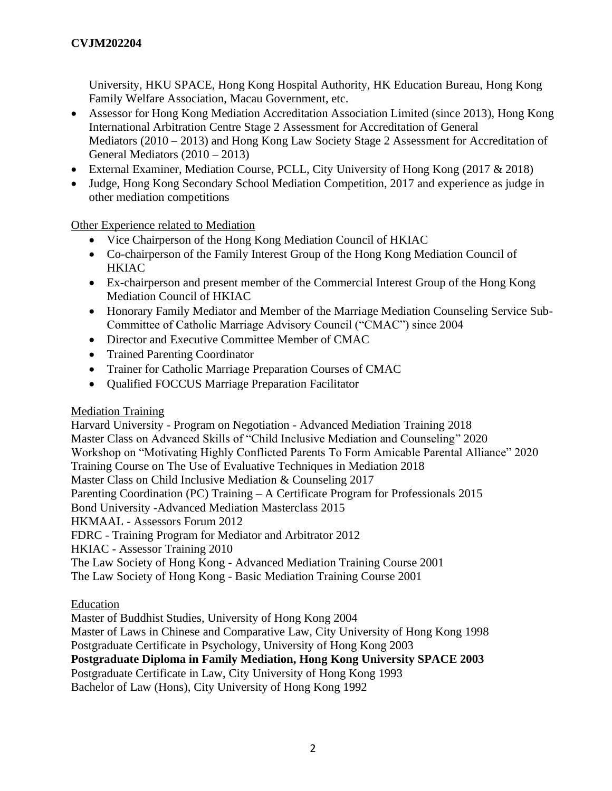University, HKU SPACE, Hong Kong Hospital Authority, HK Education Bureau, Hong Kong Family Welfare Association, Macau Government, etc.

- Assessor for Hong Kong Mediation Accreditation Association Limited (since 2013), Hong Kong International Arbitration Centre Stage 2 Assessment for Accreditation of General Mediators (2010 – 2013) and Hong Kong Law Society Stage 2 Assessment for Accreditation of General Mediators (2010 – 2013)
- External Examiner, Mediation Course, PCLL, City University of Hong Kong (2017 & 2018)
- Judge, Hong Kong Secondary School Mediation Competition, 2017 and experience as judge in other mediation competitions

Other Experience related to Mediation

- Vice Chairperson of the Hong Kong Mediation Council of HKIAC
- Co-chairperson of the Family Interest Group of the Hong Kong Mediation Council of **HKIAC**
- Ex-chairperson and present member of the Commercial Interest Group of the Hong Kong Mediation Council of HKIAC
- Honorary Family Mediator and Member of the Marriage Mediation Counseling Service Sub-Committee of Catholic Marriage Advisory Council ("CMAC") since 2004
- Director and Executive Committee Member of CMAC
- Trained Parenting Coordinator
- Trainer for Catholic Marriage Preparation Courses of CMAC
- Qualified FOCCUS Marriage Preparation Facilitator

## Mediation Training

Harvard University - Program on Negotiation - Advanced Mediation Training 2018 Master Class on Advanced Skills of "Child Inclusive Mediation and Counseling" 2020 Workshop on "Motivating Highly Conflicted Parents To Form Amicable Parental Alliance" 2020 Training Course on The Use of Evaluative Techniques in Mediation 2018 Master Class on Child Inclusive Mediation & Counseling 2017 Parenting Coordination (PC) Training – A Certificate Program for Professionals 2015 Bond University -Advanced Mediation Masterclass 2015 HKMAAL - Assessors Forum 2012 FDRC - Training Program for Mediator and Arbitrator 2012 HKIAC - Assessor Training 2010 The Law Society of Hong Kong - Advanced Mediation Training Course 2001 The Law Society of Hong Kong - Basic Mediation Training Course 2001

Education

Master of Buddhist Studies, University of Hong Kong 2004

Master of Laws in Chinese and Comparative Law, City University of Hong Kong 1998 Postgraduate Certificate in Psychology, University of Hong Kong 2003

**Postgraduate Diploma in Family Mediation, Hong Kong University SPACE 2003**

Postgraduate Certificate in Law, City University of Hong Kong 1993

Bachelor of Law (Hons), City University of Hong Kong 1992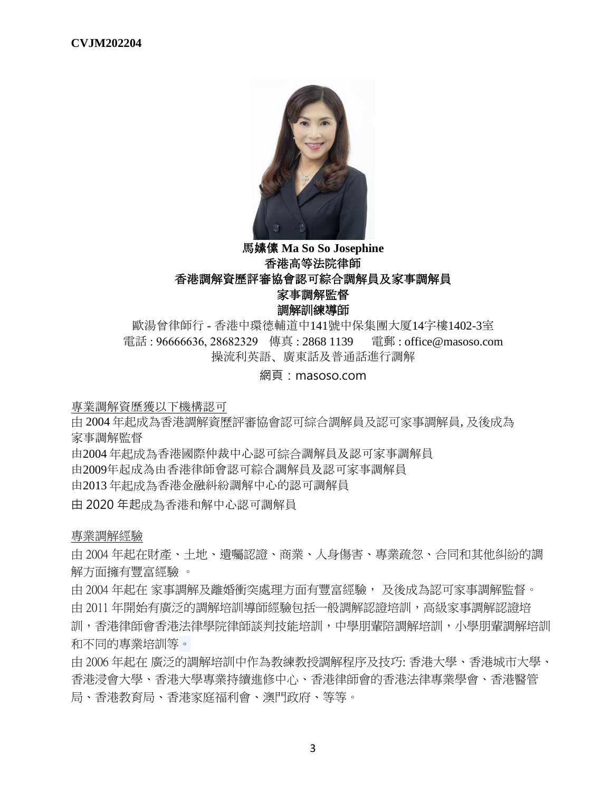

# 馬嫊傃 **Ma So So Josephine** 香港高等法院律師 香港調解資歷評審協會認可綜合調解員及家事調解員 家事調解監督 調解訓練導師

歐湯曾律師行 - 香港中環德輔道中141號中保集團大厦14字樓1402-3室 電話 : 96666636, 28682329   傳真 : 2868 1139 電郵 : office@masoso.com 操流利英語、廣東話及普通話進行調解

網頁:masoso.com

專業調解資歷獲以下機構認可

由 2004 年起成為香港調解資歷評審協會認可綜合調解員及認可家事調解員, 及後成為 家事調解監督

由2004 年起成為香港國際仲裁中心認可綜合調解員及認可家事調解員

由2009年起成為由香港律師會認可綜合調解員及認可家事調解員

由2013 年起成為香港金融糾紛調解中心的認可調解員

由 2020 年起成為香港和解中心認可調解員

專業調解經驗

由 2004 年起在財產、土地、遺囑認證、商業、人身傷害、專業疏忽、合同和其他糾紛的調 解方面擁有豐富經驗 。

由 2004 年起在 家事調解及離婚衝突處理方面有豐富經驗, 及後成為認可家事調解監督。 由 2011 年開始有廣泛的調解培訓導師經驗包括一般調解認證培訓,高級家事調解認證培 訓,香港律師會香港法律學院律師談判技能培訓,中學朋輩陪調解培訓,小學朋輩調解培訓 和不同的專業培訓等。

由 2006 年起在 廣泛的調解培訓中作為教練教授調解程序及技巧: 香港大學、香港城市大學、 香港浸會大學、香港大學專業持續進修中心、香港律師會的香港法律專業學會、香港醫管 局、香港教育局、香港家庭福利會、澳門政府、等等。